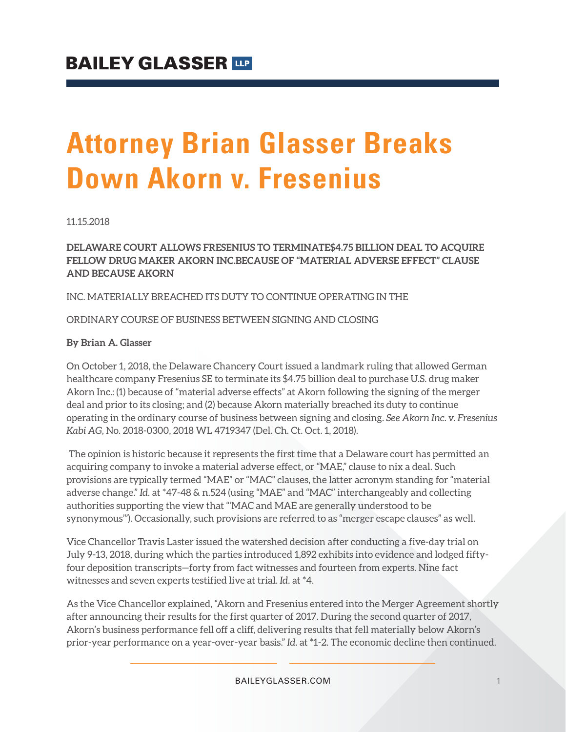# **Attorney Brian Glasser Breaks Down Akorn v. Fresenius**

11.15.2018

**DELAWARE COURT ALLOWS FRESENIUS TO TERMINATE\$4.75 BILLION DEAL TO ACQUIRE FELLOW DRUG MAKER AKORN INC.BECAUSE OF "MATERIAL ADVERSE EFFECT" CLAUSE AND BECAUSE AKORN**

INC. MATERIALLY BREACHED ITS DUTY TO CONTINUE OPERATING IN THE

ORDINARY COURSE OF BUSINESS BETWEEN SIGNING AND CLOSING

#### **By Brian A. Glasser**

On October 1, 2018, the Delaware Chancery Court issued a landmark ruling that allowed German healthcare company Fresenius SE to terminate its \$4.75 billion deal to purchase U.S. drug maker Akorn Inc.: (1) because of "material adverse effects" at Akorn following the signing of the merger deal and prior to its closing; and (2) because Akorn materially breached its duty to continue operating in the ordinary course of business between signing and closing. *See Akorn Inc. v. Fresenius Kabi AG*, No. 2018-0300, 2018 WL 4719347 (Del. Ch. Ct. Oct. 1, 2018).

The opinion is historic because it represents the first time that a Delaware court has permitted an acquiring company to invoke a material adverse effect, or "MAE," clause to nix a deal. Such provisions are typically termed "MAE" or "MAC" clauses, the latter acronym standing for "material adverse change." *Id.* at \*47-48 & n.524 (using "MAE" and "MAC" interchangeably and collecting authorities supporting the view that "'MAC and MAE are generally understood to be synonymous'"). Occasionally, such provisions are referred to as "merger escape clauses" as well.

Vice Chancellor Travis Laster issued the watershed decision after conducting a five-day trial on July 9-13, 2018, during which the parties introduced 1,892 exhibits into evidence and lodged fiftyfour deposition transcripts—forty from fact witnesses and fourteen from experts. Nine fact witnesses and seven experts testified live at trial. *Id.* at \*4.

As the Vice Chancellor explained, "Akorn and Fresenius entered into the Merger Agreement shortly after announcing their results for the first quarter of 2017. During the second quarter of 2017, Akorn's business performance fell off a cliff, delivering results that fell materially below Akorn's prior-year performance on a year-over-year basis." *Id.* at \*1-2. The economic decline then continued.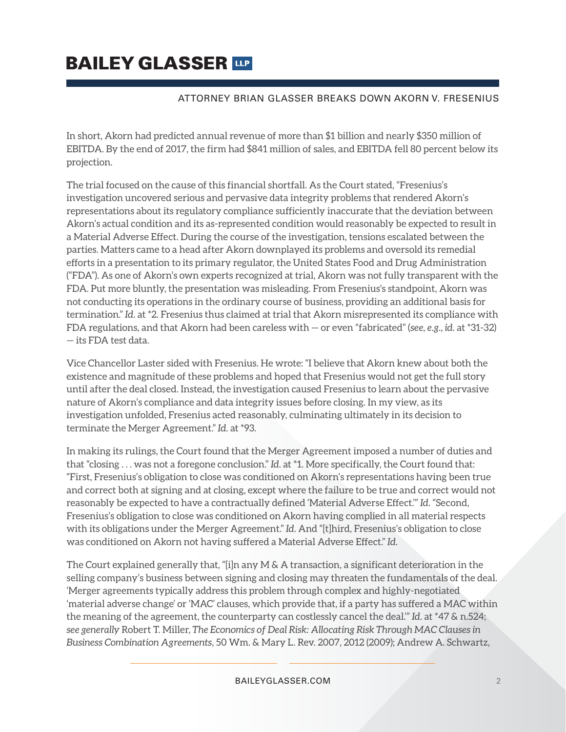# **BAILEY GLASSER TIP**

#### ATTORNEY BRIAN GLASSER BREAKS DOWN AKORN V. FRESENIUS

In short, Akorn had predicted annual revenue of more than \$1 billion and nearly \$350 million of EBITDA. By the end of 2017, the firm had \$841 million of sales, and EBITDA fell 80 percent below its projection.

The trial focused on the cause of this financial shortfall. As the Court stated, "Fresenius's investigation uncovered serious and pervasive data integrity problems that rendered Akorn's representations about its regulatory compliance sufficiently inaccurate that the deviation between Akorn's actual condition and its as-represented condition would reasonably be expected to result in a Material Adverse Effect. During the course of the investigation, tensions escalated between the parties. Matters came to a head after Akorn downplayed its problems and oversold its remedial efforts in a presentation to its primary regulator, the United States Food and Drug Administration ("FDA"). As one of Akorn's own experts recognized at trial, Akorn was not fully transparent with the FDA. Put more bluntly, the presentation was misleading. From Fresenius's standpoint, Akorn was not conducting its operations in the ordinary course of business, providing an additional basis for termination." *Id.* at \*2. Fresenius thus claimed at trial that Akorn misrepresented its compliance with FDA regulations, and that Akorn had been careless with — or even "fabricated" (*see, e.g.*, *id.* at \*31-32) — its FDA test data.

Vice Chancellor Laster sided with Fresenius. He wrote: "I believe that Akorn knew about both the existence and magnitude of these problems and hoped that Fresenius would not get the full story until after the deal closed. Instead, the investigation caused Fresenius to learn about the pervasive nature of Akorn's compliance and data integrity issues before closing. In my view, as its investigation unfolded, Fresenius acted reasonably, culminating ultimately in its decision to terminate the Merger Agreement." *Id.* at \*93.

In making its rulings, the Court found that the Merger Agreement imposed a number of duties and that "closing . . . was not a foregone conclusion." *Id.* at \*1. More specifically, the Court found that: "First, Fresenius's obligation to close was conditioned on Akorn's representations having been true and correct both at signing and at closing, except where the failure to be true and correct would not reasonably be expected to have a contractually defined 'Material Adverse Effect.'" *Id.* "Second, Fresenius's obligation to close was conditioned on Akorn having complied in all material respects with its obligations under the Merger Agreement." *Id.* And "[t]hird, Fresenius's obligation to close was conditioned on Akorn not having suffered a Material Adverse Effect." *Id.*

The Court explained generally that, "[i]n any M & A transaction, a significant deterioration in the selling company's business between signing and closing may threaten the fundamentals of the deal. 'Merger agreements typically address this problem through complex and highly-negotiated 'material adverse change' or 'MAC' clauses, which provide that, if a party has suffered a MAC within the meaning of the agreement, the counterparty can costlessly cancel the deal.'" *Id.* at \*47 & n.524; *see generally* Robert T. Miller, *The Economics of Deal Risk: Allocating Risk Through MAC Clauses in Business Combination Agreements*, 50 Wm. & Mary L. Rev. 2007, 2012 (2009); Andrew A. Schwartz,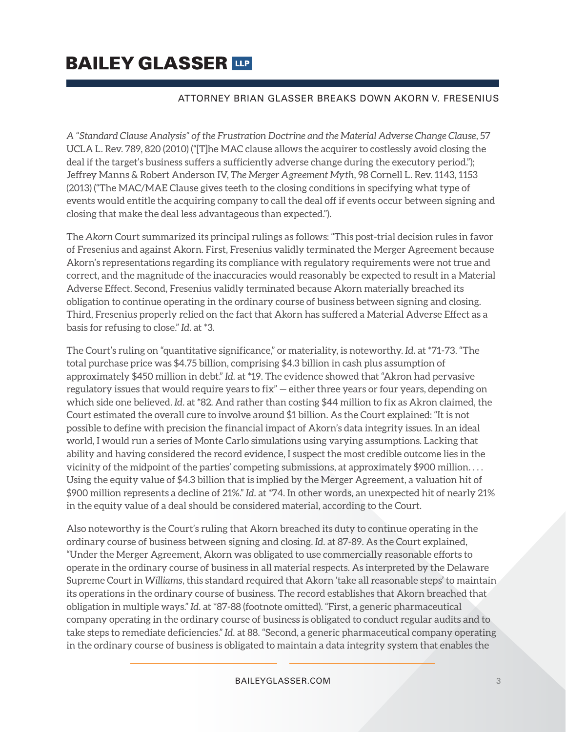## **BAILEY GLASSER TIP**

#### ATTORNEY BRIAN GLASSER BREAKS DOWN AKORN V. FRESENIUS

*A "Standard Clause Analysis" of the Frustration Doctrine and the Material Adverse Change Clause*, 57 UCLA L. Rev. 789, 820 (2010) ("[T]he MAC clause allows the acquirer to costlessly avoid closing the deal if the target's business suffers a sufficiently adverse change during the executory period."); Jeffrey Manns & Robert Anderson IV, *The Merger Agreement Myth*, 98 Cornell L. Rev. 1143, 1153 (2013) ("The MAC/MAE Clause gives teeth to the closing conditions in specifying what type of events would entitle the acquiring company to call the deal off if events occur between signing and closing that make the deal less advantageous than expected.").

The *Akorn* Court summarized its principal rulings as follows: "This post-trial decision rules in favor of Fresenius and against Akorn. First, Fresenius validly terminated the Merger Agreement because Akorn's representations regarding its compliance with regulatory requirements were not true and correct, and the magnitude of the inaccuracies would reasonably be expected to result in a Material Adverse Effect. Second, Fresenius validly terminated because Akorn materially breached its obligation to continue operating in the ordinary course of business between signing and closing. Third, Fresenius properly relied on the fact that Akorn has suffered a Material Adverse Effect as a basis for refusing to close." *Id.* at \*3.

The Court's ruling on "quantitative significance," or materiality, is noteworthy. *Id.* at \*71-73. "The total purchase price was \$4.75 billion, comprising \$4.3 billion in cash plus assumption of approximately \$450 million in debt." *Id.* at \*19. The evidence showed that "Akron had pervasive regulatory issues that would require years to fix" — either three years or four years, depending on which side one believed. *Id.* at \*82. And rather than costing \$44 million to fix as Akron claimed, the Court estimated the overall cure to involve around \$1 billion. As the Court explained: "It is not possible to define with precision the financial impact of Akorn's data integrity issues. In an ideal world, I would run a series of Monte Carlo simulations using varying assumptions. Lacking that ability and having considered the record evidence, I suspect the most credible outcome lies in the vicinity of the midpoint of the parties' competing submissions, at approximately \$900 million. . . . Using the equity value of \$4.3 billion that is implied by the Merger Agreement, a valuation hit of \$900 million represents a decline of 21%." *Id.* at \*74. In other words, an unexpected hit of nearly 21% in the equity value of a deal should be considered material, according to the Court.

Also noteworthy is the Court's ruling that Akorn breached its duty to continue operating in the ordinary course of business between signing and closing. *Id.* at 87-89. As the Court explained, "Under the Merger Agreement, Akorn was obligated to use commercially reasonable efforts to operate in the ordinary course of business in all material respects. As interpreted by the Delaware Supreme Court in *Williams*, this standard required that Akorn 'take all reasonable steps' to maintain its operations in the ordinary course of business. The record establishes that Akorn breached that obligation in multiple ways." *Id.* at \*87-88 (footnote omitted). "First, a generic pharmaceutical company operating in the ordinary course of business is obligated to conduct regular audits and to take steps to remediate deficiencies." *Id.* at 88. "Second, a generic pharmaceutical company operating in the ordinary course of business is obligated to maintain a data integrity system that enables the